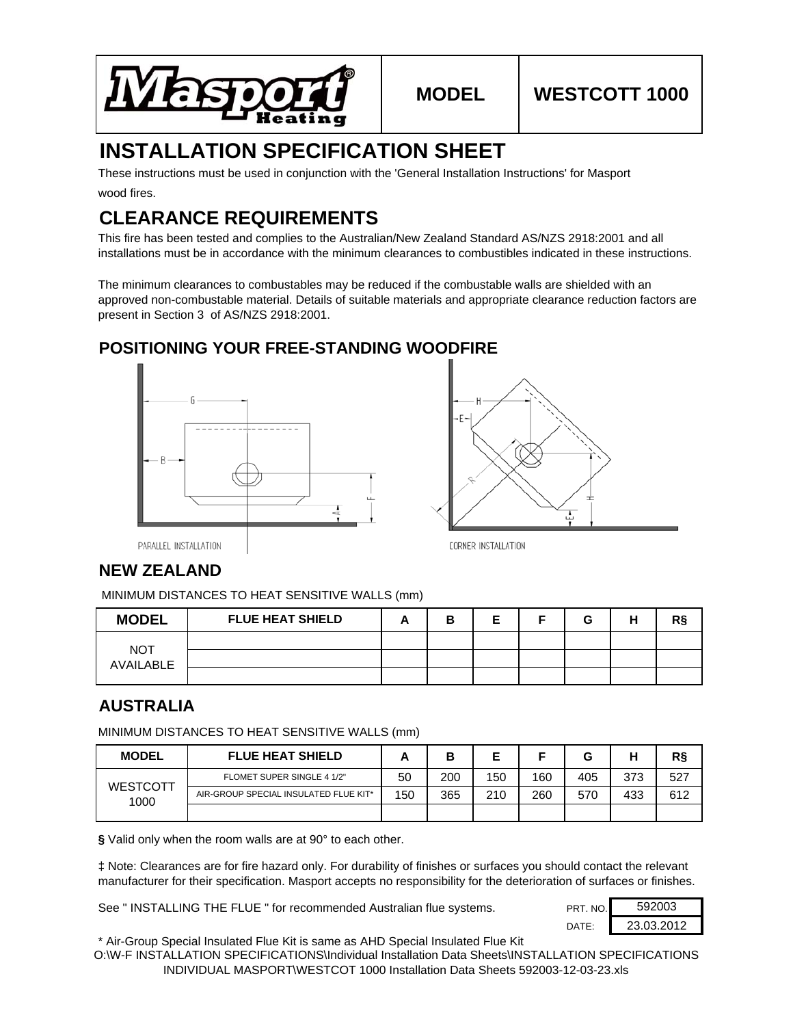

# **INSTALLATION SPECIFICATION SHEET**

wood fires. These instructions must be used in conjunction with the 'General Installation Instructions' for Masport

# **CLEARANCE REQUIREMENTS**

This fire has been tested and complies to the Australian/New Zealand Standard AS/NZS 2918:2001 and all installations must be in accordance with the minimum clearances to combustibles indicated in these instructions.

The minimum clearances to combustables may be reduced if the combustable walls are shielded with an approved non-combustable material. Details of suitable materials and appropriate clearance reduction factors are present in Section 3 of AS/NZS 2918:2001.

## **POSITIONING YOUR FREE-STANDING WOODFIRE**





PARALLEL INSTALLATION

### **NEW ZEALAND**

MINIMUM DISTANCES TO HEAT SENSITIVE WALLS (mm)

| <b>MODEL</b>     | <b>FLUE HEAT SHIELD</b> | в | F<br>− | G | н |  |
|------------------|-------------------------|---|--------|---|---|--|
| NOT<br>AVAILABLE |                         |   |        |   |   |  |
|                  |                         |   |        |   |   |  |
|                  |                         |   |        |   |   |  |

## **AUSTRALIA**

MINIMUM DISTANCES TO HEAT SENSITIVE WALLS (mm)

| <b>MODEL</b>            | <b>FLUE HEAT SHIELD</b>               |     | в   | E   |     |     | ப<br>п | R§  |
|-------------------------|---------------------------------------|-----|-----|-----|-----|-----|--------|-----|
| <b>WESTCOTT</b><br>1000 | FLOMET SUPER SINGLE 4 1/2"            | 50  | 200 | 150 | 160 | 405 | 373    | 527 |
|                         | AIR-GROUP SPECIAL INSULATED FLUE KIT* | 150 | 365 | 210 | 260 | 570 | 433    | 612 |
|                         |                                       |     |     |     |     |     |        |     |

**§** Valid only when the room walls are at 90° to each other.

‡ Note: Clearances are for fire hazard only. For durability of finishes or surfaces you should contact the relevant manufacturer for their specification. Masport accepts no responsibility for the deterioration of surfaces or finishes.

See " INSTALLING THE FLUE " for recommended Australian flue systems.

| PRT. NO. | 592003     |
|----------|------------|
| DATF∙    | 23.03.2012 |

\* Air-Group Special Insulated Flue Kit is same as AHD Special Insulated Flue Kit

O:\W-F INSTALLATION SPECIFICATIONS\Individual Installation Data Sheets\INSTALLATION SPECIFICATIONS INDIVIDUAL MASPORT\WESTCOT 1000 Installation Data Sheets 592003-12-03-23.xls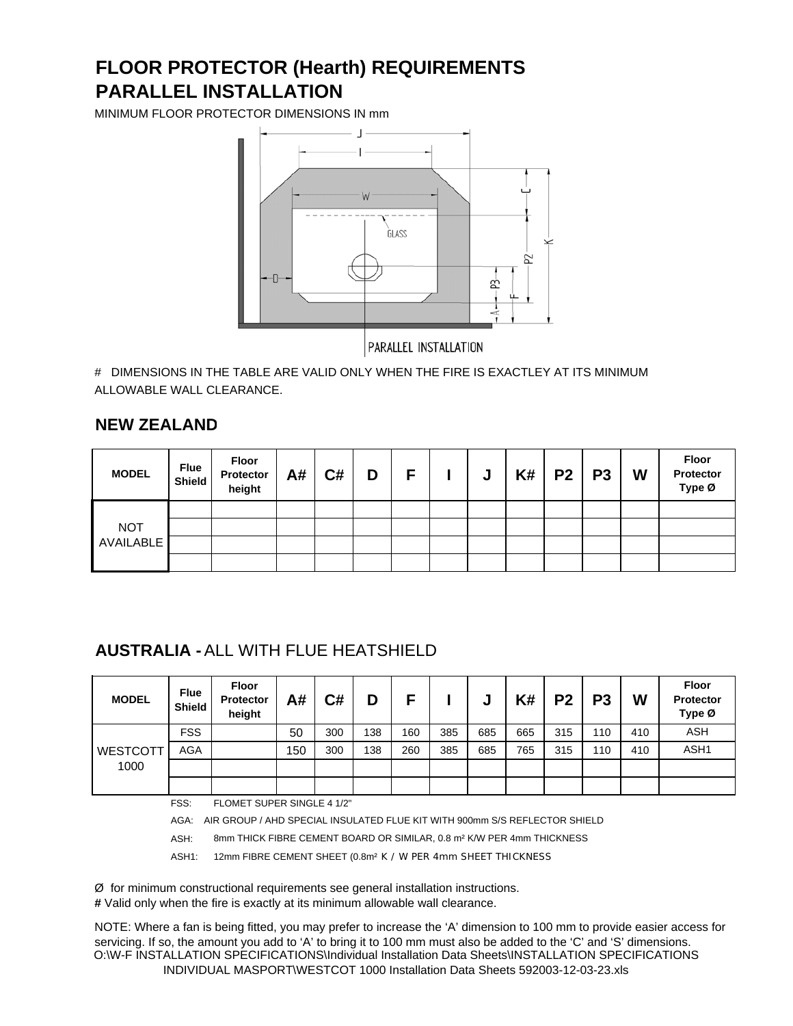# **PARALLEL INSTALLATION FLOOR PROTECTOR (Hearth) REQUIREMENTS**

MINIMUM FLOOR PROTECTOR DIMENSIONS IN mm



# DIMENSIONS IN THE TABLE ARE VALID ONLY WHEN THE FIRE IS EXACTLEY AT ITS MINIMUM ALLOWABLE WALL CLEARANCE.

#### **NEW ZEALAND**

| <b>MODEL</b>     | <b>Flue</b><br><b>Shield</b> | Floor<br>Protector<br>height | A# | C# | D | Е | J | K# | <b>P2</b> | P <sub>3</sub> | W | Floor<br>Protector<br>Type Ø |
|------------------|------------------------------|------------------------------|----|----|---|---|---|----|-----------|----------------|---|------------------------------|
|                  |                              |                              |    |    |   |   |   |    |           |                |   |                              |
| <b>NOT</b>       |                              |                              |    |    |   |   |   |    |           |                |   |                              |
| <b>AVAILABLE</b> |                              |                              |    |    |   |   |   |    |           |                |   |                              |
|                  |                              |                              |    |    |   |   |   |    |           |                |   |                              |

### **AUSTRALIA -** ALL WITH FLUE HEATSHIELD

| <b>MODEL</b>            | <b>Flue</b><br><b>Shield</b> | <b>Floor</b><br><b>Protector</b><br>height | A#  | C#  | D   |     |     | u   | K#  | P <sub>2</sub> | P <sub>3</sub> | W   | <b>Floor</b><br>Protector<br>Type Ø |
|-------------------------|------------------------------|--------------------------------------------|-----|-----|-----|-----|-----|-----|-----|----------------|----------------|-----|-------------------------------------|
| <b>WESTCOTT</b><br>1000 | <b>FSS</b>                   |                                            | 50  | 300 | 138 | 160 | 385 | 685 | 665 | 315            | 110            | 410 | <b>ASH</b>                          |
|                         | AGA                          |                                            | 150 | 300 | 138 | 260 | 385 | 685 | 765 | 315            | 110            | 410 | ASH <sub>1</sub>                    |
|                         |                              |                                            |     |     |     |     |     |     |     |                |                |     |                                     |
|                         |                              |                                            |     |     |     |     |     |     |     |                |                |     |                                     |

FSS: FLOMET SUPER SINGLE 4 1/2"

AGA: AIR GROUP / AHD SPECIAL INSULATED FLUE KIT WITH 900mm S/S REFLECTOR SHIELD

ASH: 8mm THICK FIBRE CEMENT BOARD OR SIMILAR, 0.8 m² K/W PER 4mm THICKNESS

ASH1: 12mm FIBRE CEMENT SHEET (0.8m² K / W PER 4mm SHEET THICKNESS

Ø for minimum constructional requirements see general installation instructions.

**#** Valid only when the fire is exactly at its minimum allowable wall clearance.

NOTE: Where a fan is being fitted, you may prefer to increase the 'A' dimension to 100 mm to provide easier access for servicing. If so, the amount you add to 'A' to bring it to 100 mm must also be added to the 'C' and 'S' dimensions. O:\W-F INSTALLATION SPECIFICATIONS\Individual Installation Data Sheets\INSTALLATION SPECIFICATIONS INDIVIDUAL MASPORT\WESTCOT 1000 Installation Data Sheets 592003-12-03-23.xls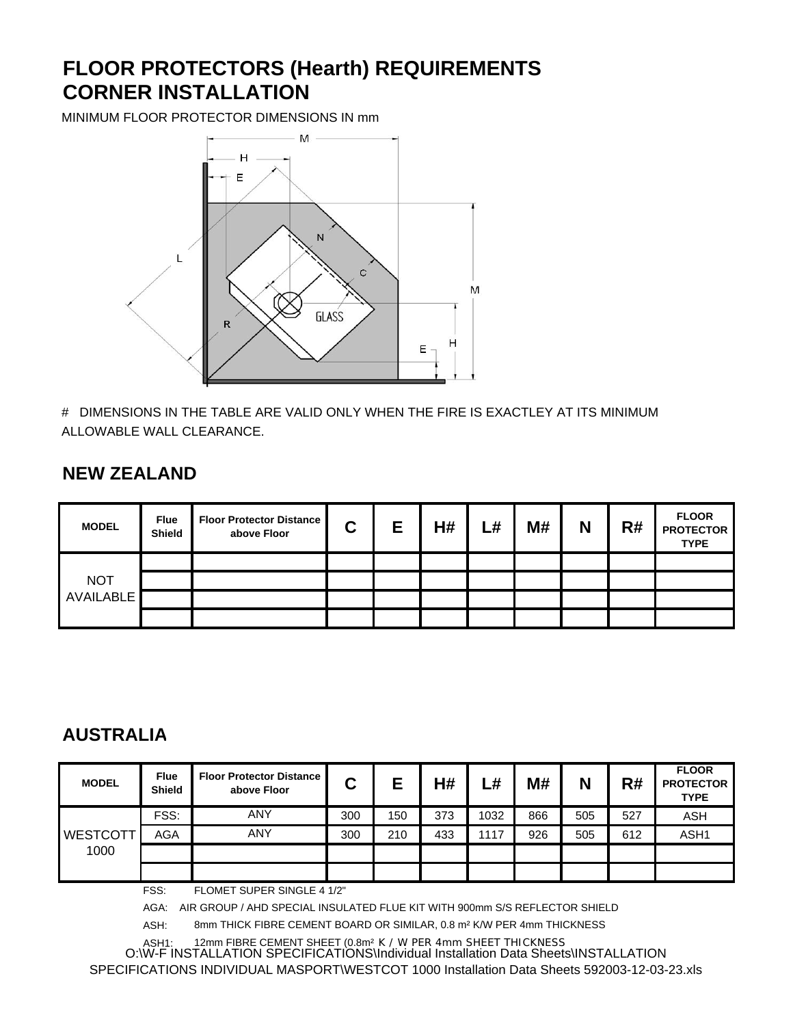# **FLOOR PROTECTORS (Hearth) REQUIREMENTS CORNER INSTALLATION**

MINIMUM FLOOR PROTECTOR DIMENSIONS IN mm



# DIMENSIONS IN THE TABLE ARE VALID ONLY WHEN THE FIRE IS EXACTLEY AT ITS MINIMUM ALLOWABLE WALL CLEARANCE.

## **NEW ZEALAND**

| <b>MODEL</b>     | <b>Flue</b><br>Shield | <b>Floor Protector Distance</b><br>above Floor | С | E | H# | –# | M# | N | R# | <b>FLOOR</b><br><b>PROTECTOR</b><br><b>TYPE</b> |
|------------------|-----------------------|------------------------------------------------|---|---|----|----|----|---|----|-------------------------------------------------|
|                  |                       |                                                |   |   |    |    |    |   |    |                                                 |
| <b>NOT</b>       |                       |                                                |   |   |    |    |    |   |    |                                                 |
| <b>AVAILABLE</b> |                       |                                                |   |   |    |    |    |   |    |                                                 |
|                  |                       |                                                |   |   |    |    |    |   |    |                                                 |

## **AUSTRALIA**

| <b>MODEL</b>    | <b>Flue</b><br><b>Shield</b> | <b>Floor Protector Distance</b><br>above Floor | С   | Е   | H#  | –#   | M#  | N   | R#  | <b>FLOOR</b><br><b>PROTECTOR</b><br><b>TYPE</b> |
|-----------------|------------------------------|------------------------------------------------|-----|-----|-----|------|-----|-----|-----|-------------------------------------------------|
| <b>WESTCOTT</b> | FSS:                         | <b>ANY</b>                                     | 300 | 150 | 373 | 1032 | 866 | 505 | 527 | ASH                                             |
|                 | <b>AGA</b>                   | <b>ANY</b>                                     | 300 | 210 | 433 | 1117 | 926 | 505 | 612 | ASH1                                            |
| 1000            |                              |                                                |     |     |     |      |     |     |     |                                                 |
|                 |                              |                                                |     |     |     |      |     |     |     |                                                 |

FSS: FLOMET SUPER SINGLE 4 1/2"

AGA: AIR GROUP / AHD SPECIAL INSULATED FLUE KIT WITH 900mm S/S REFLECTOR SHIELD

ASH: 8mm THICK FIBRE CEMENT BOARD OR SIMILAR, 0.8 m² K/W PER 4mm THICKNESS

ASH1: 12mm FIBRE CEMENT SHEET (0.8m² K / W PER 4mm SHEET THICKNESS O:\W-F INSTALLATION SPECIFICATIONS\Individual Installation Data Sheets\INSTALLATION SPECIFICATIONS INDIVIDUAL MASPORT\WESTCOT 1000 Installation Data Sheets 592003-12-03-23.xls